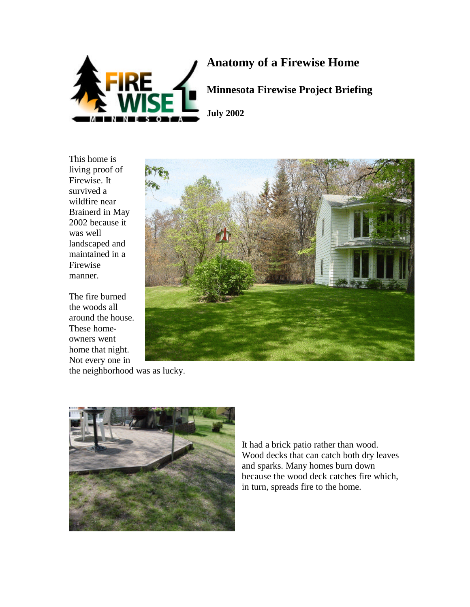

## **Anatomy of a Firewise Home**

**Minnesota Firewise Project Briefing**

This home is living proof of Firewise. It survived a wildfire near Brainerd in May 2002 because it was well landscaped and maintained in a Firewise manner.

The fire burned the woods all around the house. These homeowners went home that night. Not every one in



the neighborhood was as lucky.



It had a brick patio rather than wood. Wood decks that can catch both dry leaves and sparks. Many homes burn down because the wood deck catches fire which, in turn, spreads fire to the home.